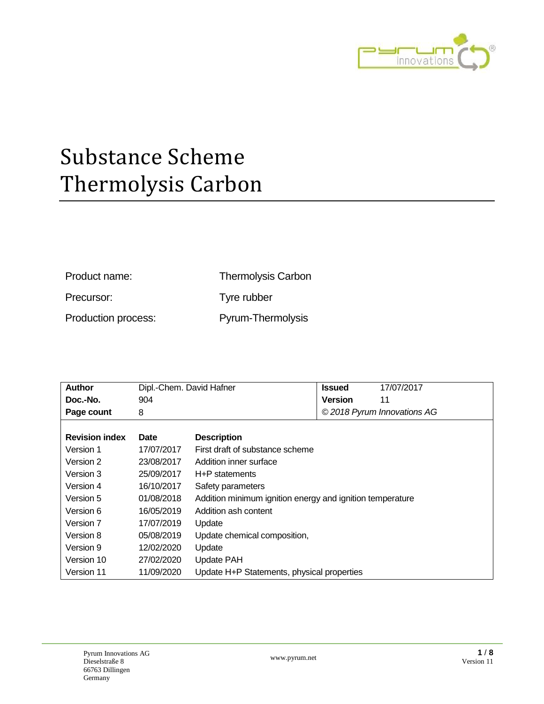

| Product name:       | <b>Thermolysis Carbon</b> |
|---------------------|---------------------------|
| Precursor:          | Tyre rubber               |
| Production process: | Pyrum-Thermolysis         |

| <b>Author</b>         | Dipl.-Chem. David Hafner |                                                           | <b>Issued</b>  | 17/07/2017                  |
|-----------------------|--------------------------|-----------------------------------------------------------|----------------|-----------------------------|
| Doc.-No.              | 904                      |                                                           | <b>Version</b> | 11                          |
| Page count            | 8                        |                                                           |                | © 2018 Pyrum Innovations AG |
|                       |                          |                                                           |                |                             |
| <b>Revision index</b> | Date                     | <b>Description</b>                                        |                |                             |
| Version 1             | 17/07/2017               | First draft of substance scheme                           |                |                             |
| Version 2             | 23/08/2017               | Addition inner surface                                    |                |                             |
| Version 3             | 25/09/2017               | H+P statements                                            |                |                             |
| Version 4             | 16/10/2017               | Safety parameters                                         |                |                             |
| Version 5             | 01/08/2018               | Addition minimum ignition energy and ignition temperature |                |                             |
| Version 6             | 16/05/2019               | Addition ash content                                      |                |                             |
| Version 7             | 17/07/2019               | Update                                                    |                |                             |
| Version 8             | 05/08/2019               | Update chemical composition,                              |                |                             |
| Version 9             | 12/02/2020               | Update                                                    |                |                             |
| Version 10            | 27/02/2020               | Update PAH                                                |                |                             |
| Version 11            | 11/09/2020               | Update H+P Statements, physical properties                |                |                             |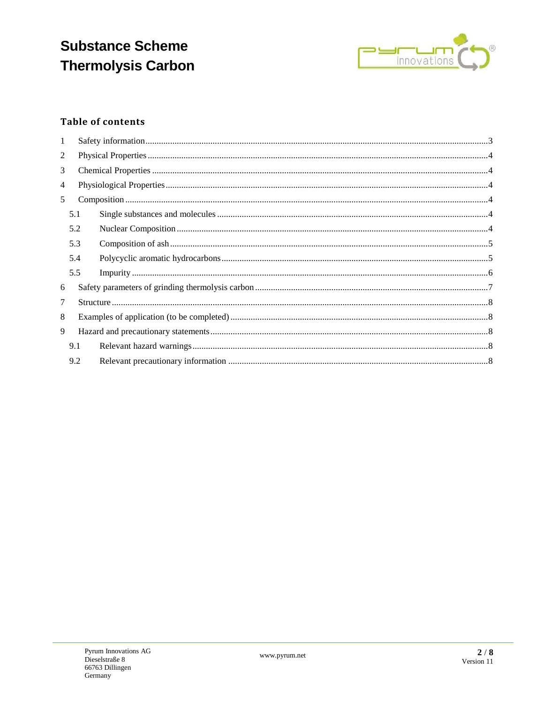

### **Table of contents**

| $\mathbf{1}$   |     |  |  |  |  |
|----------------|-----|--|--|--|--|
| $\overline{c}$ |     |  |  |  |  |
| 3              |     |  |  |  |  |
| $\overline{4}$ |     |  |  |  |  |
| 5              |     |  |  |  |  |
|                | 5.1 |  |  |  |  |
|                | 5.2 |  |  |  |  |
|                | 5.3 |  |  |  |  |
|                | 5.4 |  |  |  |  |
|                | 5.5 |  |  |  |  |
| 6              |     |  |  |  |  |
| 7              |     |  |  |  |  |
| 8              |     |  |  |  |  |
| 9              |     |  |  |  |  |
|                | 9.1 |  |  |  |  |
|                | 9.2 |  |  |  |  |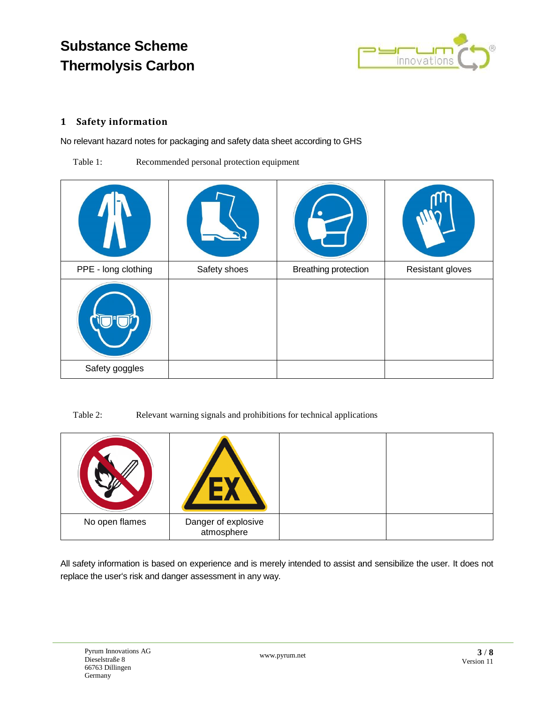

#### <span id="page-2-0"></span>**1 Safety information**

No relevant hazard notes for packaging and safety data sheet according to GHS

Table 1: Recommended personal protection equipment

| PPE - long clothing | Safety shoes | <b>Breathing protection</b> | Resistant gloves |
|---------------------|--------------|-----------------------------|------------------|
|                     |              |                             |                  |
| Safety goggles      |              |                             |                  |

Table 2: Relevant warning signals and prohibitions for technical applications

| No open flames | Danger of explosive<br>atmosphere |  |
|----------------|-----------------------------------|--|

All safety information is based on experience and is merely intended to assist and sensibilize the user. It does not replace the user's risk and danger assessment in any way.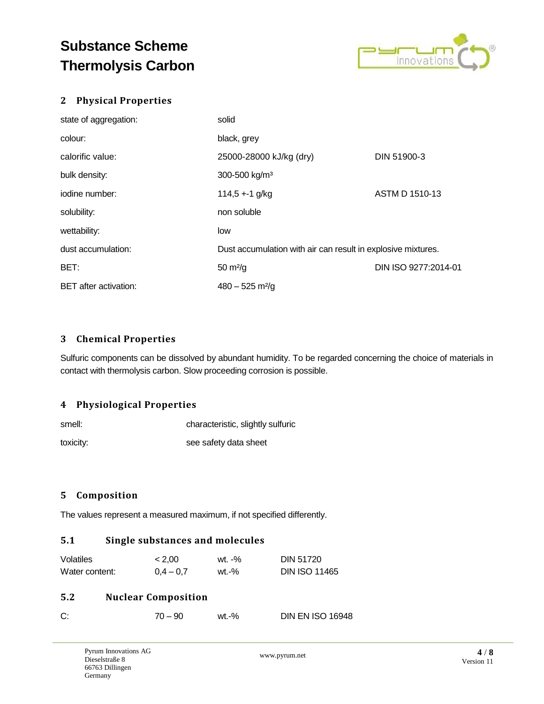

#### <span id="page-3-0"></span>**2 Physical Properties**

| state of aggregation:        | solid                                                        |                      |
|------------------------------|--------------------------------------------------------------|----------------------|
| colour:                      | black, grey                                                  |                      |
| calorific value:             | 25000-28000 kJ/kg (dry)                                      | DIN 51900-3          |
| bulk density:                | 300-500 kg/m <sup>3</sup>                                    |                      |
| iodine number:               | $114,5 + 1$ g/kg                                             | ASTM D 1510-13       |
| solubility:                  | non soluble                                                  |                      |
| wettability:                 | low                                                          |                      |
| dust accumulation:           | Dust accumulation with air can result in explosive mixtures. |                      |
| BET:                         | $50 \text{ m}^2\text{/g}$                                    | DIN ISO 9277:2014-01 |
| <b>BET</b> after activation: | $480 - 525$ m <sup>2</sup> /g                                |                      |

#### <span id="page-3-1"></span>**3 Chemical Properties**

Sulfuric components can be dissolved by abundant humidity. To be regarded concerning the choice of materials in contact with thermolysis carbon. Slow proceeding corrosion is possible.

#### <span id="page-3-2"></span>**4 Physiological Properties**

| smell:    | characteristic, slightly sulfuric |  |
|-----------|-----------------------------------|--|
| toxicity: | see safety data sheet             |  |

#### <span id="page-3-3"></span>**5 Composition**

<span id="page-3-4"></span>The values represent a measured maximum, if not specified differently.

#### **5.1 Single substances and molecules**

| <b>Volatiles</b> | < 2.00      | wt. -% | DIN 51720            |
|------------------|-------------|--------|----------------------|
| Water content:   | $0.4 - 0.7$ | wt.-%  | <b>DIN ISO 11465</b> |

#### <span id="page-3-5"></span>**5.2 Nuclear Composition**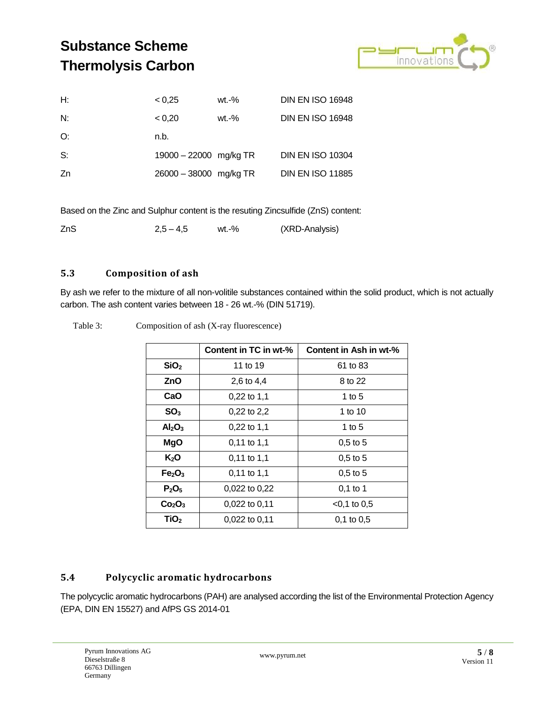

| < 0.25 | $wt.-%$ | <b>DIN EN ISO 16948</b>                          |
|--------|---------|--------------------------------------------------|
| < 0.20 | $wt.-%$ | <b>DIN EN ISO 16948</b>                          |
| n.b.   |         |                                                  |
|        |         | <b>DIN EN ISO 10304</b>                          |
|        |         | <b>DIN EN ISO 11885</b>                          |
|        |         | 19000 - 22000 mg/kg TR<br>26000 - 38000 mg/kg TR |

Based on the Zinc and Sulphur content is the resuting Zincsulfide (ZnS) content:

| ZnS |             | wt.-% | (XRD-Analysis) |
|-----|-------------|-------|----------------|
|     | $2,5 - 4,5$ |       |                |

#### <span id="page-4-0"></span>**5.3 Composition of ash**

By ash we refer to the mixture of all non-volitile substances contained within the solid product, which is not actually carbon. The ash content varies between 18 - 26 wt.-% (DIN 51719).

| Composition of ash (X-ray fluorescence) |                       |                        |  |  |
|-----------------------------------------|-----------------------|------------------------|--|--|
|                                         | Content in TC in wt-% | Content in Ash in wt-% |  |  |
| SiO <sub>2</sub>                        | 11 to 19              | 61 to 83               |  |  |
| ZnO                                     | 2,6 to 4,4            | 8 to 22                |  |  |
| CaO                                     | $0,22$ to 1,1         | 1 to $5$               |  |  |
| SO <sub>3</sub>                         | $0,22$ to 2,2         | 1 to 10                |  |  |
| Al <sub>2</sub> O <sub>3</sub>          | $0,22$ to 1,1         | 1 to $5$               |  |  |
| <b>MgO</b>                              | $0,11$ to $1,1$       | $0,5$ to 5             |  |  |
| $K_2O$                                  | $0,11$ to 1,1         | $0.5$ to 5             |  |  |
| Fe <sub>2</sub> O <sub>3</sub>          | $0,11$ to 1,1         | $0.5$ to 5             |  |  |
| P <sub>2</sub> O <sub>5</sub>           | $0.022$ to $0.22$     | $0,1$ to 1             |  |  |
| Co <sub>2</sub> O <sub>3</sub>          | 0,022 to 0,11         | $<$ 0.1 to 0.5         |  |  |
| TiO <sub>2</sub>                        | $0,022$ to $0,11$     | $0.1$ to $0.5$         |  |  |

Table 3:

#### <span id="page-4-1"></span>**5.4 Polycyclic aromatic hydrocarbons**

The polycyclic aromatic hydrocarbons (PAH) are analysed according the list of the Environmental Protection Agency (EPA, DIN EN 15527) and AfPS GS 2014-01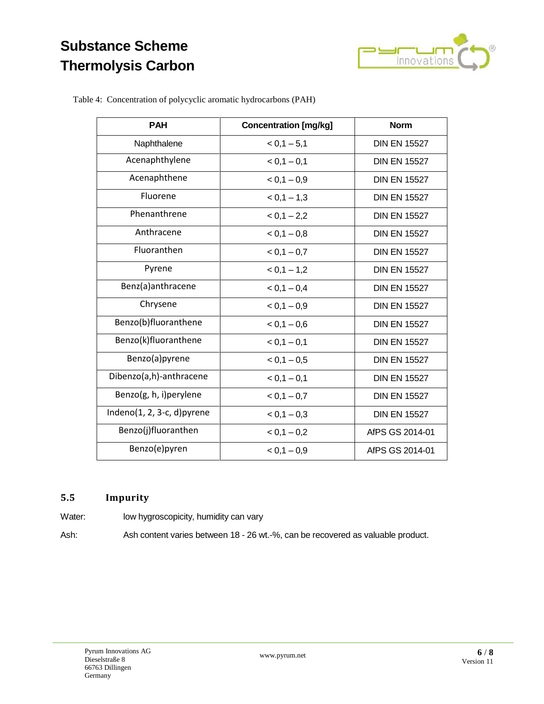

Table 4: Concentration of polycyclic aromatic hydrocarbons (PAH)

| <b>PAH</b>                     | <b>Concentration [mg/kg]</b> | <b>Norm</b>         |  |  |
|--------------------------------|------------------------------|---------------------|--|--|
| Naphthalene                    | $< 0.1 - 5.1$                | <b>DIN EN 15527</b> |  |  |
| Acenaphthylene                 | $< 0.1 - 0.1$                | <b>DIN EN 15527</b> |  |  |
| Acenaphthene                   | $< 0.1 - 0.9$                | <b>DIN EN 15527</b> |  |  |
| Fluorene                       | $< 0.1 - 1.3$                | <b>DIN EN 15527</b> |  |  |
| Phenanthrene                   | $< 0.1 - 2.2$                | <b>DIN EN 15527</b> |  |  |
| Anthracene                     | $< 0.1 - 0.8$                | <b>DIN EN 15527</b> |  |  |
| Fluoranthen                    | $< 0.1 - 0.7$                | <b>DIN EN 15527</b> |  |  |
| Pyrene                         | $< 0.1 - 1.2$                | <b>DIN EN 15527</b> |  |  |
| Benz(a)anthracene              | $< 0.1 - 0.4$                | <b>DIN EN 15527</b> |  |  |
| Chrysene                       | $< 0.1 - 0.9$                | <b>DIN EN 15527</b> |  |  |
| Benzo(b)fluoranthene           | $< 0.1 - 0.6$                | <b>DIN EN 15527</b> |  |  |
| Benzo(k)fluoranthene           | $< 0,1 - 0,1$                | <b>DIN EN 15527</b> |  |  |
| Benzo(a)pyrene                 | $< 0.1 - 0.5$                | <b>DIN EN 15527</b> |  |  |
| Dibenzo(a,h)-anthracene        | $< 0,1 - 0,1$                | <b>DIN EN 15527</b> |  |  |
| Benzo(g, h, i)perylene         | $< 0,1 - 0,7$                | <b>DIN EN 15527</b> |  |  |
| Indeno $(1, 2, 3-c, d)$ pyrene | $< 0.1 - 0.3$                | <b>DIN EN 15527</b> |  |  |
| Benzo(j)fluoranthen            | $< 0,1 - 0,2$                | AfPS GS 2014-01     |  |  |
| Benzo(e)pyren                  | $< 0.1 - 0.9$                | AfPS GS 2014-01     |  |  |

#### <span id="page-5-0"></span>**5.5 Impurity**

Water: low hygroscopicity, humidity can vary

Ash: Ash content varies between 18 - 26 wt.-%, can be recovered as valuable product.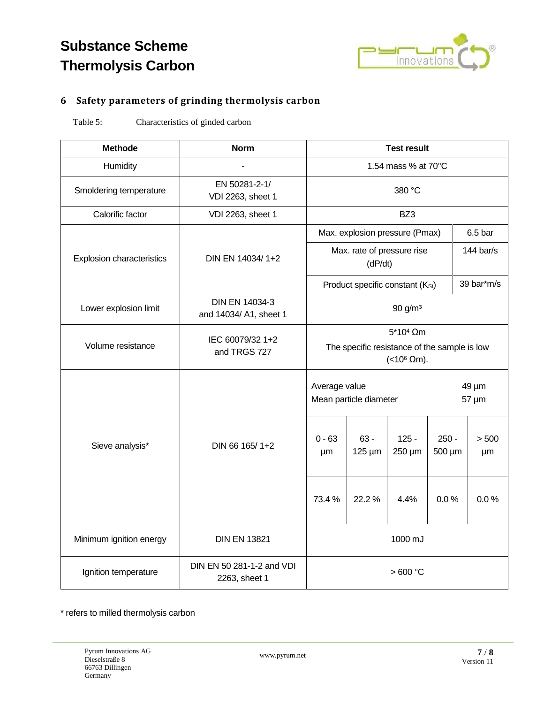

### <span id="page-6-0"></span>**6 Safety parameters of grinding thermolysis carbon**

Table 5: Characteristics of ginded carbon

| <b>Methode</b>                   | <b>Norm</b>                                | <b>Test result</b>                                                                    |                       |                   |                   |                    |  |
|----------------------------------|--------------------------------------------|---------------------------------------------------------------------------------------|-----------------------|-------------------|-------------------|--------------------|--|
| Humidity                         |                                            | 1.54 mass % at 70°C                                                                   |                       |                   |                   |                    |  |
| Smoldering temperature           | EN 50281-2-1/<br>VDI 2263, sheet 1         | 380 °C                                                                                |                       |                   |                   |                    |  |
| Calorific factor                 | VDI 2263, sheet 1                          | BZ3                                                                                   |                       |                   |                   |                    |  |
| <b>Explosion characteristics</b> | DIN EN 14034/1+2                           | Max. explosion pressure (Pmax)                                                        |                       |                   |                   | 6.5 <sub>bar</sub> |  |
|                                  |                                            | Max. rate of pressure rise<br>(dP/dt)                                                 |                       |                   |                   | 144 bar/s          |  |
|                                  |                                            | Product specific constant (Kst)                                                       |                       |                   |                   | 39 bar*m/s         |  |
| Lower explosion limit            | DIN EN 14034-3<br>and 14034/ A1, sheet 1   | 90 g/m <sup>3</sup>                                                                   |                       |                   |                   |                    |  |
| Volume resistance                | IEC 60079/32 1+2<br>and TRGS 727           | $5*104$ Qm<br>The specific resistance of the sample is low<br>(<10 $\textdegree$ Qm). |                       |                   |                   |                    |  |
| Sieve analysis*                  | DIN 66 165/1+2                             | Average value<br>Mean particle diameter                                               |                       |                   |                   | 49 µm<br>57 µm     |  |
|                                  |                                            | $0 - 63$<br>μm                                                                        | $63 -$<br>$125 \mu m$ | $125 -$<br>250 µm | $250 -$<br>500 µm | > 500<br>μm        |  |
|                                  |                                            | 73.4%                                                                                 | 22.2%                 | 4.4%              | 0.0%              | 0.0%               |  |
| Minimum ignition energy          | <b>DIN EN 13821</b>                        | 1000 mJ                                                                               |                       |                   |                   |                    |  |
| Ignition temperature             | DIN EN 50 281-1-2 and VDI<br>2263, sheet 1 | >600 °C                                                                               |                       |                   |                   |                    |  |

\* refers to milled thermolysis carbon